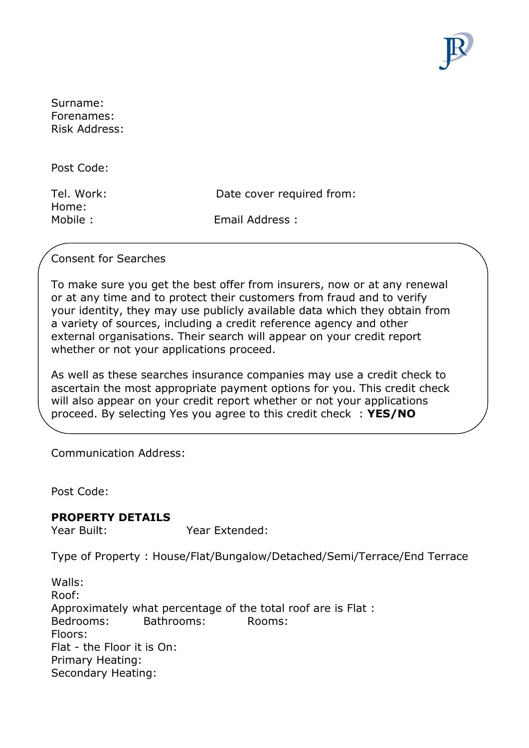

Surname: Forenames: Risk Address:

Post Code:

Home:

Tel. Work: Date cover required from:

Mobile : Email Address :

### Consent for Searches

To make sure you get the best offer from insurers, now or at any renewal or at any time and to protect their customers from fraud and to verify your identity, they may use publicly available data which they obtain from a variety of sources, including a credit reference agency and other external organisations. Their search will appear on your credit report whether or not your applications proceed.

As well as these searches insurance companies may use a credit check to ascertain the most appropriate payment options for you. This credit check will also appear on your credit report whether or not your applications proceed. By selecting Yes you agree to this credit check : **YES/NO**

Communication Address:

Post Code:

#### **PROPERTY DETAILS**

Year Built: Year Extended:

Type of Property : House/Flat/Bungalow/Detached/Semi/Terrace/End Terrace

Walls: Roof: Approximately what percentage of the total roof are is Flat : Bedrooms: Bathrooms: Rooms: Floors: Flat - the Floor it is On: Primary Heating: Secondary Heating: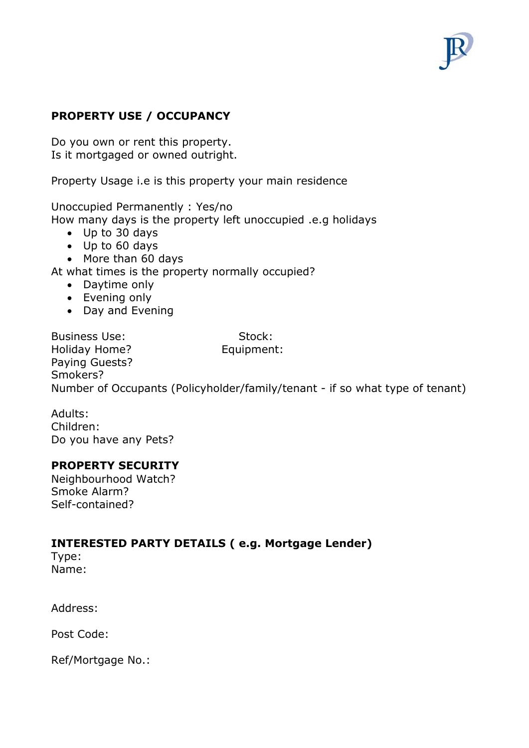

### **PROPERTY USE / OCCUPANCY**

Do you own or rent this property. Is it mortgaged or owned outright.

Property Usage i.e is this property your main residence

Unoccupied Permanently : Yes/no How many days is the property left unoccupied .e.g holidays

- Up to 30 days
- Up to 60 days
- More than 60 days

At what times is the property normally occupied?

- Daytime only
- Evening only
- Day and Evening

Business Use: Stock: Holiday Home? **Equipment:** Paying Guests? Smokers? Number of Occupants (Policyholder/family/tenant - if so what type of tenant)

Adults: Children: Do you have any Pets?

#### **PROPERTY SECURITY**

Neighbourhood Watch? Smoke Alarm? Self-contained?

#### **INTERESTED PARTY DETAILS ( e.g. Mortgage Lender)**

Type: Name:

Address:

Post Code:

Ref/Mortgage No.: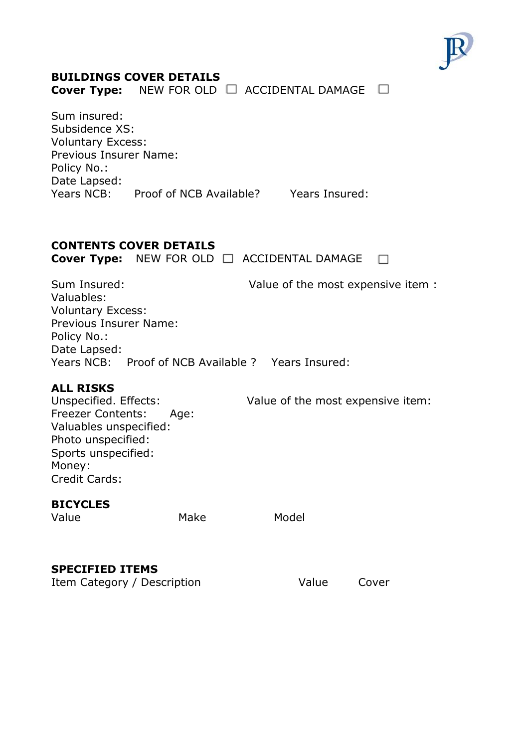

# **BUILDINGS COVER DETAILS**

Cover Type: NEW FOR OLD □ ACCIDENTAL DAMAGE □

Sum insured: Subsidence XS: Voluntary Excess: Previous Insurer Name: Policy No.: Date Lapsed: Years NCB: Proof of NCB Available? Years Insured:

## **CONTENTS COVER DETAILS**

Cover Type: NEW FOR OLD □ ACCIDENTAL DAMAGE □

Sum Insured: Value of the most expensive item : Valuables: Voluntary Excess: Previous Insurer Name: Policy No.: Date Lapsed: Years NCB: Proof of NCB Available ? Years Insured:

#### **ALL RISKS**

Unspecified. Effects: Value of the most expensive item: Freezer Contents: Age: Valuables unspecified: Photo unspecified: Sports unspecified: Money: Credit Cards:

#### **BICYCLES**

Value Make Model

### **SPECIFIED ITEMS**

Item Category / Description Value Cover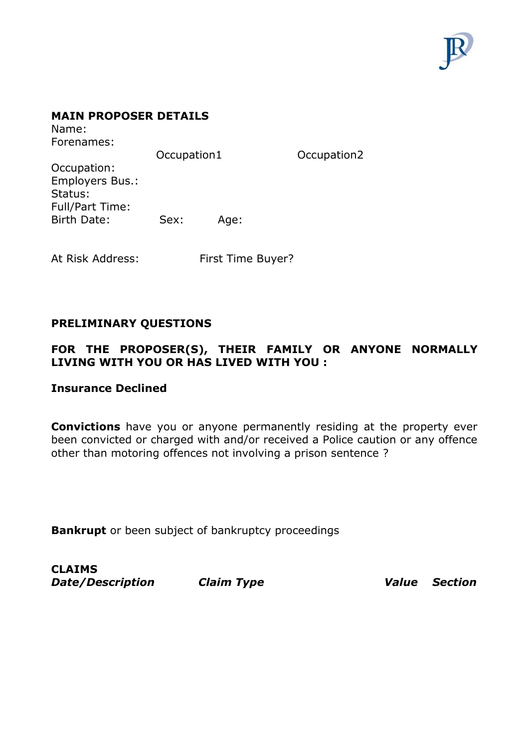

#### **MAIN PROPOSER DETAILS**

Name: Forenames:

Occupation1 Occupation2 Occupation: Employers Bus.: Status: Full/Part Time: Birth Date: Sex: Age:

At Risk Address: First Time Buyer?

### **PRELIMINARY QUESTIONS**

### **FOR THE PROPOSER(S), THEIR FAMILY OR ANYONE NORMALLY LIVING WITH YOU OR HAS LIVED WITH YOU :**

#### **Insurance Declined**

**Convictions** have you or anyone permanently residing at the property ever been convicted or charged with and/or received a Police caution or any offence other than motoring offences not involving a prison sentence ?

**Bankrupt** or been subject of bankruptcy proceedings

**CLAIMS**  *Date/Description Claim Type Value Section*